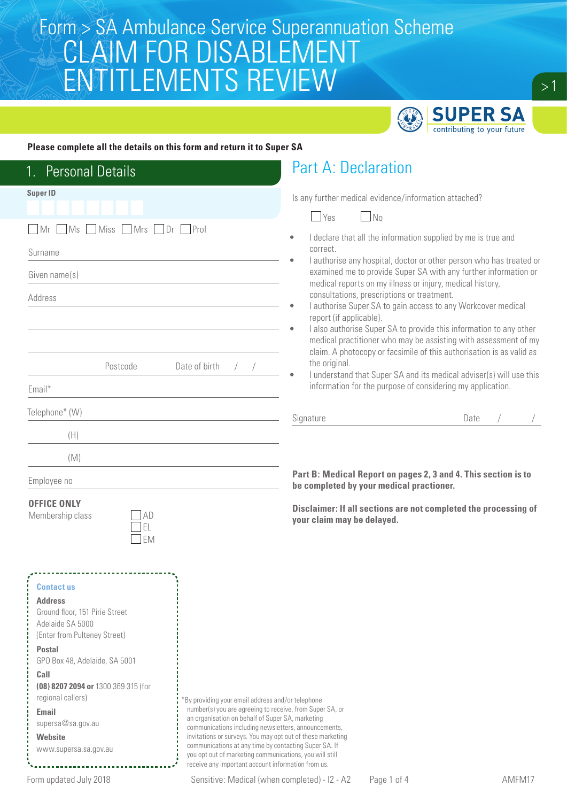

#### **Please complete all the details on this form and return it to Super SA**

| <b>Personal Details</b>                                                                                                                                                                                                                                                                                           |                                                                                                                                                                                                                                                                                                                                                                                                                                                                   | <b>Part A: Declaration</b>                                                                                                                                                                                                                                                                                                                                                                                                                                                                                                                                                                                                                                                                                                                                                                                                  |      |  |
|-------------------------------------------------------------------------------------------------------------------------------------------------------------------------------------------------------------------------------------------------------------------------------------------------------------------|-------------------------------------------------------------------------------------------------------------------------------------------------------------------------------------------------------------------------------------------------------------------------------------------------------------------------------------------------------------------------------------------------------------------------------------------------------------------|-----------------------------------------------------------------------------------------------------------------------------------------------------------------------------------------------------------------------------------------------------------------------------------------------------------------------------------------------------------------------------------------------------------------------------------------------------------------------------------------------------------------------------------------------------------------------------------------------------------------------------------------------------------------------------------------------------------------------------------------------------------------------------------------------------------------------------|------|--|
| <b>Super ID</b><br>Miss Mrs Dr Prof<br>MS<br>Mr<br>Surname<br>Given name(s)<br>Address<br>Date of birth<br>Postcode                                                                                                                                                                                               |                                                                                                                                                                                                                                                                                                                                                                                                                                                                   | Is any further medical evidence/information attached?<br>$\Box$ Yes<br>$\Box$ No<br>I declare that all the information supplied by me is true and<br>۰<br>correct.<br>I authorise any hospital, doctor or other person who has treated or<br>examined me to provide Super SA with any further information or<br>medical reports on my illness or injury, medical history,<br>consultations, prescriptions or treatment.<br>I authorise Super SA to gain access to any Workcover medical<br>report (if applicable).<br>I also authorise Super SA to provide this information to any other<br>medical practitioner who may be assisting with assessment of my<br>claim. A photocopy or facsimile of this authorisation is as valid as<br>the original.<br>I understand that Super SA and its medical adviser(s) will use this |      |  |
| Email*                                                                                                                                                                                                                                                                                                            |                                                                                                                                                                                                                                                                                                                                                                                                                                                                   | information for the purpose of considering my application.                                                                                                                                                                                                                                                                                                                                                                                                                                                                                                                                                                                                                                                                                                                                                                  |      |  |
| Telephone* (W)                                                                                                                                                                                                                                                                                                    |                                                                                                                                                                                                                                                                                                                                                                                                                                                                   | Signature                                                                                                                                                                                                                                                                                                                                                                                                                                                                                                                                                                                                                                                                                                                                                                                                                   | Date |  |
| (H)                                                                                                                                                                                                                                                                                                               |                                                                                                                                                                                                                                                                                                                                                                                                                                                                   |                                                                                                                                                                                                                                                                                                                                                                                                                                                                                                                                                                                                                                                                                                                                                                                                                             |      |  |
| (M)<br>Employee no                                                                                                                                                                                                                                                                                                |                                                                                                                                                                                                                                                                                                                                                                                                                                                                   | Part B: Medical Report on pages 2, 3 and 4. This section is to<br>be completed by your medical practioner.                                                                                                                                                                                                                                                                                                                                                                                                                                                                                                                                                                                                                                                                                                                  |      |  |
| <b>OFFICE ONLY</b><br>Membership class<br>AD<br>EL<br>EM                                                                                                                                                                                                                                                          |                                                                                                                                                                                                                                                                                                                                                                                                                                                                   | Disclaimer: If all sections are not completed the processing of<br>your claim may be delayed.                                                                                                                                                                                                                                                                                                                                                                                                                                                                                                                                                                                                                                                                                                                               |      |  |
| <b>Contact us</b><br><b>Address</b><br>Ground floor, 151 Pirie Street<br>Adelaide SA 5000<br>(Enter from Pulteney Street)<br><b>Postal</b><br>GPO Box 48, Adelaide, SA 5001<br>Call<br>(08) 8207 2094 or 1300 369 315 (for<br>regional callers)<br>Email<br>supersa@sa.gov.au<br>Website<br>www.supersa.sa.gov.au | 'By providing your email address and/or telephone<br>number(s) you are agreeing to receive, from Super SA, or<br>an organisation on behalf of Super SA, marketing<br>communications including newsletters, announcements,<br>invitations or surveys. You may opt out of these marketing<br>communications at any time by contacting Super SA. If<br>you opt out of marketing communications, you will still<br>receive any important account information from us. |                                                                                                                                                                                                                                                                                                                                                                                                                                                                                                                                                                                                                                                                                                                                                                                                                             |      |  |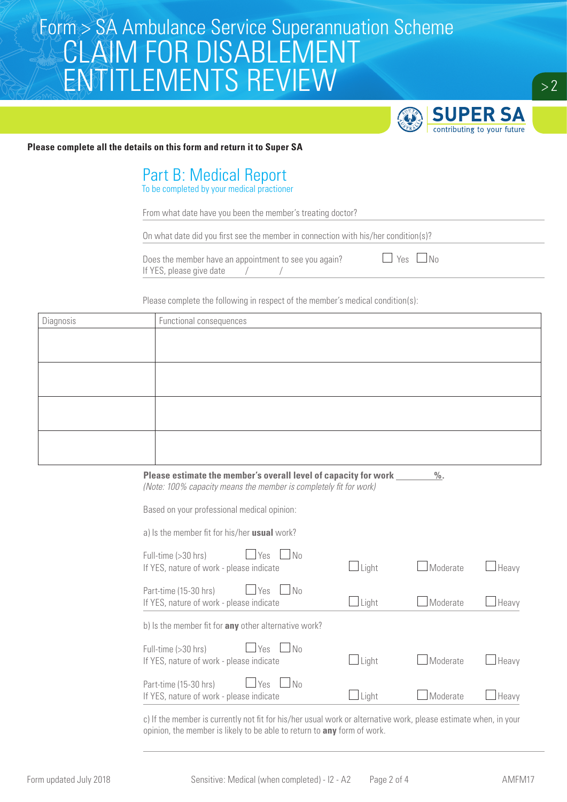

#### **Please complete all the details on this form and return it to Super SA**

### Part B: Medical Report

To be completed by your medical practioner

From what date have you been the member's treating doctor?

On what date did you first see the member in connection with his/her condition(s)?

|                          | Does the member have an appointment to see you again? | $\Box$ Yes $\Box$ No |
|--------------------------|-------------------------------------------------------|----------------------|
| If YES, please give date |                                                       |                      |

Please complete the following in respect of the member's medical condition(s):

| Diagnosis | Functional consequences |
|-----------|-------------------------|
|           |                         |
|           |                         |
|           |                         |
|           |                         |
|           |                         |
|           |                         |
|           |                         |
|           |                         |

**Please estimate the member's overall level of capacity for work %.** *(Note: 100% capacity means the member is completely fit for work)*

Based on your professional medical opinion:

a) Is the member fit for his/her **usual** work?

| Yes<br>l No<br>Part-time (15-30 hrs)<br>If YES, nature of work - please indicate                | Light        | Moderate | Heavy |
|-------------------------------------------------------------------------------------------------|--------------|----------|-------|
| <b>Yes</b><br>N <sub>0</sub><br>Full-time (>30 hrs)<br>If YES, nature of work - please indicate | $\Box$ Light | Moderate | Heavy |
| b) Is the member fit for <b>any</b> other alternative work?                                     |              |          |       |
| Yes<br>Part-time (15-30 hrs)<br>No<br>If YES, nature of work - please indicate                  | Light        | Moderate | Heavy |
| Yes<br>Full-time (>30 hrs)<br>N <sub>0</sub><br>If YES, nature of work - please indicate        | Light        | Moderate | Heavy |

c) If the member is currently not fit for his/her usual work or alternative work, please estimate when, in your opinion, the member is likely to be able to return to **any** form of work.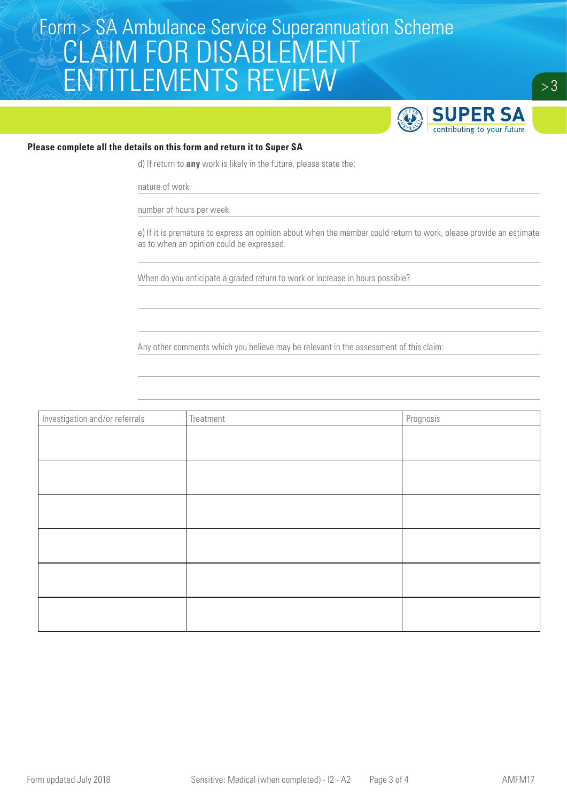

#### **Please complete all the details on this form and return it to Super SA**

d) If return to **any** work is likely in the future, please state the:

nature of work

number of hours per week

e) If it is premature to express an opinion about when the member could return to work, please provide an estimate as to when an opinion could be expressed.

When do you anticipate a graded return to work or increase in hours possible?

Any other comments which you believe may be relevant in the assessment of this claim:

| Investigation and/or referrals | Treatment | Prognosis |
|--------------------------------|-----------|-----------|
|                                |           |           |
|                                |           |           |
|                                |           |           |
|                                |           |           |
|                                |           |           |
|                                |           |           |
|                                |           |           |
|                                |           |           |
|                                |           |           |
|                                |           |           |
|                                |           |           |
|                                |           |           |